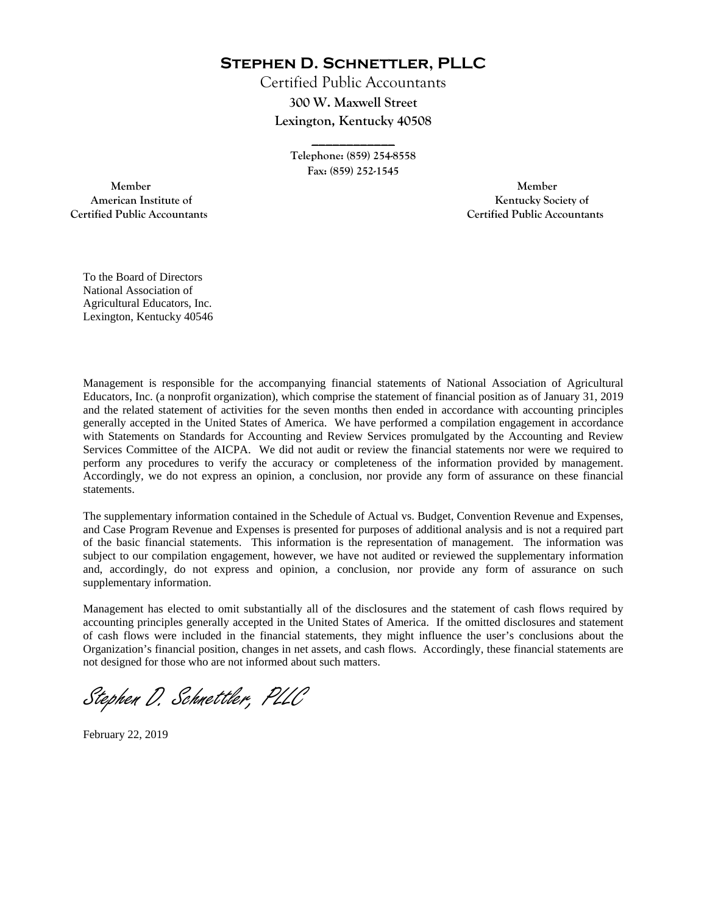**Stephen D. Schnettler, PLLC**

Certified Public Accountants **300 W. Maxwell Street Lexington, Kentucky 40508** 

> **Telephone: (859) 254-8558 Fax: (859) 252-1545**

**\_\_\_\_\_\_\_\_\_\_\_\_** 

 **Member Member Certified Public Accountants Certified Public Accountants** 

American Institute of **Kentucky Society of American Institute of** 

To the Board of Directors National Association of Agricultural Educators, Inc. Lexington, Kentucky 40546

Management is responsible for the accompanying financial statements of National Association of Agricultural Educators, Inc. (a nonprofit organization), which comprise the statement of financial position as of January 31, 2019 and the related statement of activities for the seven months then ended in accordance with accounting principles generally accepted in the United States of America. We have performed a compilation engagement in accordance with Statements on Standards for Accounting and Review Services promulgated by the Accounting and Review Services Committee of the AICPA. We did not audit or review the financial statements nor were we required to perform any procedures to verify the accuracy or completeness of the information provided by management. Accordingly, we do not express an opinion, a conclusion, nor provide any form of assurance on these financial statements.

The supplementary information contained in the Schedule of Actual vs. Budget, Convention Revenue and Expenses, and Case Program Revenue and Expenses is presented for purposes of additional analysis and is not a required part of the basic financial statements. This information is the representation of management. The information was subject to our compilation engagement, however, we have not audited or reviewed the supplementary information and, accordingly, do not express and opinion, a conclusion, nor provide any form of assurance on such supplementary information.

Management has elected to omit substantially all of the disclosures and the statement of cash flows required by accounting principles generally accepted in the United States of America. If the omitted disclosures and statement of cash flows were included in the financial statements, they might influence the user's conclusions about the Organization's financial position, changes in net assets, and cash flows. Accordingly, these financial statements are not designed for those who are not informed about such matters.

Stephen D. Schnettler, PLLC

February 22, 2019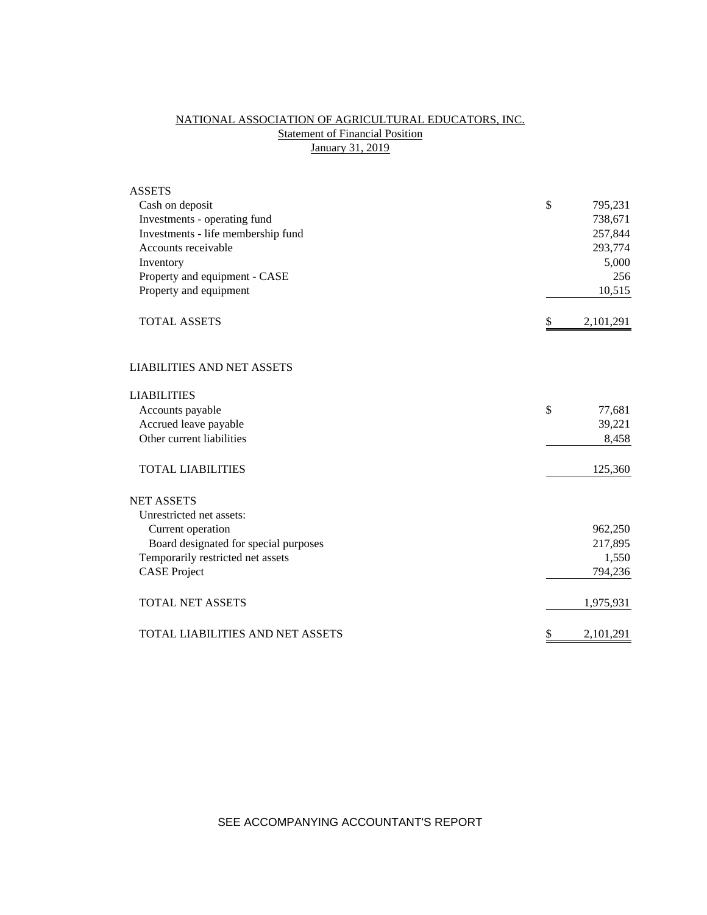# NATIONAL ASSOCIATION OF AGRICULTURAL EDUCATORS, INC. **Statement of Financial Position** January 31, 2019

| <b>ASSETS</b>                         |                 |
|---------------------------------------|-----------------|
| Cash on deposit                       | \$<br>795,231   |
| Investments - operating fund          | 738,671         |
| Investments - life membership fund    | 257,844         |
| Accounts receivable                   | 293,774         |
| Inventory                             | 5,000           |
| Property and equipment - CASE         | 256             |
| Property and equipment                | 10,515          |
| <b>TOTAL ASSETS</b>                   | \$<br>2,101,291 |
| <b>LIABILITIES AND NET ASSETS</b>     |                 |
| <b>LIABILITIES</b>                    |                 |
| Accounts payable                      | \$<br>77,681    |
| Accrued leave payable                 | 39,221          |
| Other current liabilities             | 8,458           |
| <b>TOTAL LIABILITIES</b>              | 125,360         |
| <b>NET ASSETS</b>                     |                 |
| Unrestricted net assets:              |                 |
| Current operation                     | 962,250         |
| Board designated for special purposes | 217,895         |
| Temporarily restricted net assets     | 1,550           |
| <b>CASE Project</b>                   | 794,236         |
| <b>TOTAL NET ASSETS</b>               | 1,975,931       |
| TOTAL LIABILITIES AND NET ASSETS      | \$<br>2,101,291 |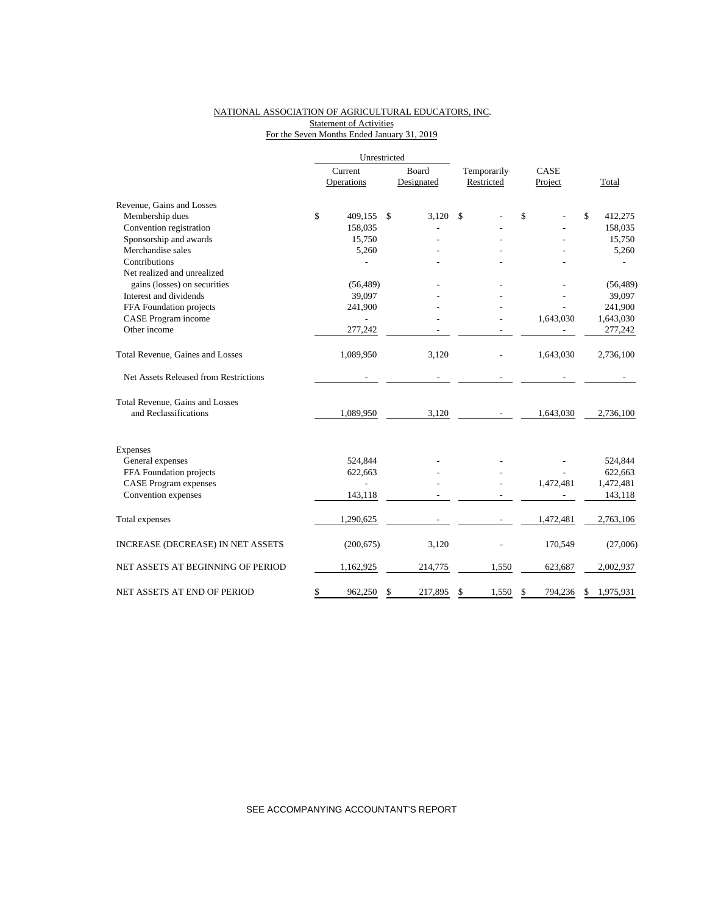### NATIONAL ASSOCIATION OF AGRICULTURAL EDUCATORS, INC. Statement of Activities For the Seven Months Ended January 31, 2019

|                                       |         | Unrestricted |               |             |    |           |                 |
|---------------------------------------|---------|--------------|---------------|-------------|----|-----------|-----------------|
|                                       | Current |              | Board         | Temporarily |    | CASE      |                 |
|                                       |         | Operations   | Designated    | Restricted  |    | Project   | Total           |
| Revenue, Gains and Losses             |         |              |               |             |    |           |                 |
| Membership dues                       | \$      | 409,155      | \$<br>3,120   | \$          | \$ |           | \$<br>412,275   |
| Convention registration               |         | 158,035      |               |             |    |           | 158,035         |
| Sponsorship and awards                |         | 15,750       |               |             |    |           | 15,750          |
| Merchandise sales                     |         | 5,260        |               |             |    |           | 5,260           |
| Contributions                         |         |              |               |             |    |           |                 |
| Net realized and unrealized           |         |              |               |             |    |           |                 |
| gains (losses) on securities          |         | (56, 489)    |               |             |    |           | (56, 489)       |
| Interest and dividends                |         | 39,097       |               |             |    |           | 39,097          |
| FFA Foundation projects               |         | 241,900      |               |             |    |           | 241,900         |
| CASE Program income                   |         |              |               |             |    | 1,643,030 | 1,643,030       |
| Other income                          |         | 277,242      |               |             |    |           | 277,242         |
| Total Revenue, Gaines and Losses      |         | 1,089,950    | 3,120         |             |    | 1,643,030 | 2,736,100       |
| Net Assets Released from Restrictions |         |              |               |             |    |           |                 |
| Total Revenue, Gains and Losses       |         |              |               |             |    |           |                 |
| and Reclassifications                 |         | 1,089,950    | 3,120         |             |    | 1,643,030 | 2,736,100       |
| Expenses                              |         |              |               |             |    |           |                 |
| General expenses                      |         | 524,844      |               |             |    |           | 524,844         |
| FFA Foundation projects               |         | 622,663      |               |             |    |           | 622,663         |
| <b>CASE Program expenses</b>          |         |              |               |             |    | 1,472,481 | 1,472,481       |
| Convention expenses                   |         | 143,118      |               |             |    |           | 143,118         |
| Total expenses                        |         | 1,290,625    |               |             |    | 1,472,481 | 2,763,106       |
| INCREASE (DECREASE) IN NET ASSETS     |         | (200, 675)   | 3,120         |             |    | 170,549   | (27,006)        |
| NET ASSETS AT BEGINNING OF PERIOD     |         | 1,162,925    | 214,775       | 1,550       |    | 623,687   | 2,002,937       |
| NET ASSETS AT END OF PERIOD           | \$      | 962,250      | \$<br>217,895 | \$<br>1,550 | \$ | 794,236   | \$<br>1,975,931 |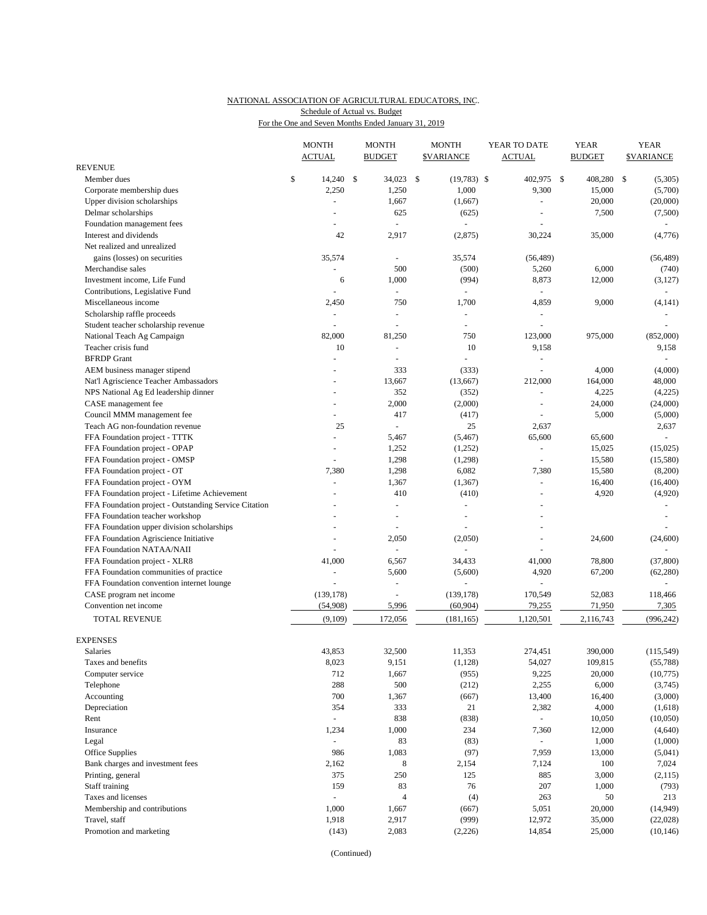### NATIONAL ASSOCIATION OF AGRICULTURAL EDUCATORS, INC. For the One and Seven Months Ended January 31, 2019 Schedule of Actual vs. Budget

|                                                       | <b>MONTH</b><br><b>ACTUAL</b> | <b>MONTH</b><br><b>BUDGET</b> | <b>MONTH</b><br><b><i>SVARIANCE</i></b> | YEAR TO DATE<br><b>ACTUAL</b> | <b>YEAR</b><br><b>BUDGET</b> |     | <b>YEAR</b><br><b>SVARIANCE</b> |
|-------------------------------------------------------|-------------------------------|-------------------------------|-----------------------------------------|-------------------------------|------------------------------|-----|---------------------------------|
| <b>REVENUE</b>                                        |                               |                               |                                         |                               |                              |     |                                 |
| Member dues                                           | \$<br>14,240 \$               | 34,023                        | \$<br>$(19,783)$ \$                     | 402,975 \$                    | 408,280                      | -\$ | (5,305)                         |
| Corporate membership dues                             | 2,250                         | 1,250                         | 1,000                                   | 9,300                         | 15,000                       |     | (5,700)                         |
| Upper division scholarships                           | $\blacksquare$                | 1,667                         | (1,667)                                 |                               | 20,000                       |     | (20,000)                        |
| Delmar scholarships                                   |                               | 625                           | (625)                                   |                               | 7,500                        |     | (7,500)                         |
| Foundation management fees                            |                               | $\sim$                        | $\mathcal{L}_{\mathcal{A}}$             |                               |                              |     |                                 |
| Interest and dividends                                | 42                            | 2,917                         | (2,875)                                 | 30,224                        | 35,000                       |     | (4,776)                         |
| Net realized and unrealized                           |                               |                               |                                         |                               |                              |     |                                 |
| gains (losses) on securities                          | 35,574                        | $\blacksquare$                | 35,574                                  | (56, 489)                     |                              |     | (56, 489)                       |
| Merchandise sales                                     | $\overline{\phantom{a}}$      | 500                           | (500)                                   | 5,260                         | 6,000                        |     | (740)                           |
| Investment income, Life Fund                          | 6                             | 1,000                         | (994)                                   | 8,873                         | 12,000                       |     | (3,127)                         |
| Contributions, Legislative Fund                       |                               |                               |                                         |                               |                              |     |                                 |
| Miscellaneous income                                  | 2,450                         | 750                           | 1,700                                   | 4,859                         | 9,000                        |     | (4, 141)                        |
| Scholarship raffle proceeds                           | ÷,                            | L.                            | $\bar{\phantom{a}}$                     |                               |                              |     |                                 |
| Student teacher scholarship revenue                   | ÷,                            |                               | L.                                      |                               |                              |     |                                 |
| National Teach Ag Campaign                            | 82,000                        | 81,250                        | 750                                     | 123,000                       | 975,000                      |     | (852,000)                       |
| Teacher crisis fund                                   | 10                            | ÷.                            | 10                                      | 9,158                         |                              |     | 9,158                           |
| <b>BFRDP</b> Grant                                    |                               | ÷.                            | $\overline{a}$                          |                               |                              |     |                                 |
| AEM business manager stipend                          | $\overline{a}$                | 333                           | (333)                                   |                               | 4,000                        |     | (4,000)                         |
| Nat'l Agriscience Teacher Ambassadors                 |                               | 13,667                        | (13,667)                                | 212,000                       | 164,000                      |     | 48,000                          |
| NPS National Ag Ed leadership dinner                  | $\overline{\phantom{a}}$      | 352                           | (352)                                   | $\sim$                        | 4,225                        |     | (4,225)                         |
| CASE management fee                                   |                               | 2,000                         | (2,000)                                 |                               | 24,000                       |     | (24,000)                        |
| Council MMM management fee                            | ÷,                            | 417                           | (417)                                   |                               | 5,000                        |     | (5,000)                         |
| Teach AG non-foundation revenue                       | 25                            | $\bar{\phantom{a}}$           | 25                                      | 2,637                         |                              |     | 2,637                           |
| FFA Foundation project - TTTK                         | $\overline{a}$                | 5,467                         | (5, 467)                                | 65,600                        | 65,600                       |     | ÷                               |
| FFA Foundation project - OPAP                         | ÷,                            | 1,252                         | (1,252)                                 | ä,                            | 15,025                       |     | (15,025)                        |
| FFA Foundation project - OMSP                         |                               | 1,298                         | (1,298)                                 |                               | 15,580                       |     | (15,580)                        |
| FFA Foundation project - OT                           | 7,380                         | 1,298                         | 6,082                                   | 7,380                         | 15,580                       |     | (8,200)                         |
| FFA Foundation project - OYM                          | L.                            | 1,367                         | (1, 367)                                |                               | 16,400                       |     | (16, 400)                       |
| FFA Foundation project - Lifetime Achievement         |                               | 410                           | (410)                                   |                               | 4,920                        |     | (4,920)                         |
| FFA Foundation project - Outstanding Service Citation |                               | L,                            | ÷.                                      |                               |                              |     |                                 |
| FFA Foundation teacher workshop                       |                               | L.                            | ÷.                                      |                               |                              |     |                                 |
| FFA Foundation upper division scholarships            |                               |                               |                                         |                               |                              |     |                                 |
| FFA Foundation Agriscience Initiative                 | ÷,                            | 2,050                         | (2,050)                                 |                               | 24,600                       |     | (24, 600)                       |
| FFA Foundation NATAA/NAII                             |                               |                               |                                         |                               |                              |     |                                 |
| FFA Foundation project - XLR8                         | 41,000                        | 6,567                         | 34,433                                  | 41,000                        | 78,800                       |     | (37, 800)                       |
| FFA Foundation communities of practice                | $\overline{a}$                | 5,600                         | (5,600)                                 | 4,920                         | 67,200                       |     | (62, 280)                       |
| FFA Foundation convention internet lounge             | L.                            | L,                            | L.                                      |                               |                              |     | ÷                               |
| CASE program net income                               | (139, 178)                    | $\sim$                        | (139, 178)                              | 170,549                       | 52,083                       |     | 118,466                         |
| Convention net income                                 | (54,908)                      | 5,996                         | (60, 904)                               | 79,255                        | 71,950                       |     | 7,305                           |
| TOTAL REVENUE                                         | (9,109)                       | 172,056                       | (181, 165)                              | 1,120,501                     | 2,116,743                    |     | (996, 242)                      |
| <b>EXPENSES</b>                                       |                               |                               |                                         |                               |                              |     |                                 |
| Salaries                                              | 43,853                        | 32,500                        | 11,353                                  | 274,451                       | 390,000                      |     | (115, 549)                      |
| Taxes and benefits                                    | 8,023                         | 9,151                         | (1,128)                                 | 54,027                        | 109,815                      |     | (55,788)                        |
| Computer service                                      | 712                           | 1,667                         | (955)                                   | 9,225                         | 20,000                       |     | (10, 775)                       |
| Telephone                                             | 288                           | 500                           | (212)                                   | 2,255                         | 6,000                        |     | (3,745)                         |
| Accounting                                            | 700                           | 1,367                         | (667)                                   | 13,400                        | 16,400                       |     | (3,000)                         |
| Depreciation                                          | 354                           | 333                           | 21                                      | 2,382                         | 4,000                        |     | (1,618)                         |
| Rent                                                  | $\blacksquare$                | 838                           | (838)                                   | $\omega$                      | 10,050                       |     | (10,050)                        |
| Insurance                                             | 1,234                         | 1,000                         | 234                                     | 7,360                         | 12,000                       |     | (4,640)                         |
| Legal                                                 |                               | 83                            | (83)                                    |                               | 1,000                        |     | (1,000)                         |
| Office Supplies                                       | 986                           | 1,083                         | (97)                                    | 7,959                         | 13,000                       |     | (5,041)                         |
| Bank charges and investment fees                      | 2,162                         | 8                             | 2,154                                   | 7,124                         | 100                          |     | 7,024                           |
| Printing, general                                     | 375                           | 250                           | 125                                     | 885                           | 3,000                        |     | (2,115)                         |
| Staff training                                        | 159                           | 83                            | 76                                      | 207                           | 1,000                        |     | (793)                           |
| Taxes and licenses                                    | $\overline{a}$                | $\overline{4}$                | (4)                                     | 263                           | 50                           |     | 213                             |
| Membership and contributions                          | 1,000                         | 1,667                         | (667)                                   | 5,051                         | 20,000                       |     | (14, 949)                       |
| Travel, staff                                         | 1,918                         | 2,917                         | (999)                                   | 12,972                        | 35,000                       |     | (22, 028)                       |
| Promotion and marketing                               | (143)                         | 2,083                         | (2,226)                                 | 14,854                        | 25,000                       |     | (10, 146)                       |

(Continued)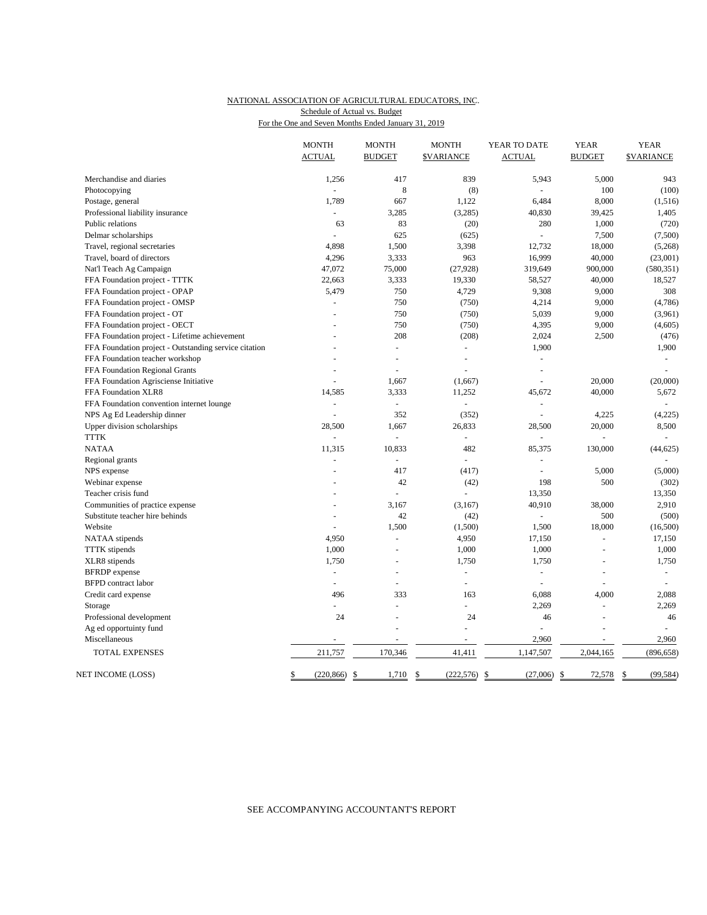#### NATIONAL ASSOCIATION OF AGRICULTURAL EDUCATORS, INC. For the One and Seven Months Ended January 31, 2019 Schedule of Actual vs. Budget

|                                                       | <b>MONTH</b>          | <b>MONTH</b>   | <b>MONTH</b>                     | YEAR TO DATE             | <b>YEAR</b>    | <b>YEAR</b>               |
|-------------------------------------------------------|-----------------------|----------------|----------------------------------|--------------------------|----------------|---------------------------|
|                                                       | <b>ACTUAL</b>         | <b>BUDGET</b>  | <b><i>SVARIANCE</i></b>          | <b>ACTUAL</b>            | <b>BUDGET</b>  | <b><i>SVARIANCE</i></b>   |
| Merchandise and diaries                               | 1,256                 | 417            | 839                              | 5,943                    | 5,000          | 943                       |
| Photocopying                                          |                       | $\,$ 8 $\,$    | (8)                              |                          | 100            | (100)                     |
| Postage, general                                      | 1,789                 | 667            | 1,122                            | 6,484                    | 8,000          | (1, 516)                  |
| Professional liability insurance                      | $\blacksquare$        | 3,285          | (3,285)                          | 40,830                   | 39,425         | 1,405                     |
| Public relations                                      | 63                    | 83             | (20)                             | 280                      | 1,000          | (720)                     |
| Delmar scholarships                                   |                       | 625            | (625)                            | $\overline{a}$           | 7,500          | (7,500)                   |
| Travel, regional secretaries                          | 4,898                 | 1,500          | 3,398                            | 12,732                   | 18,000         | (5,268)                   |
| Travel, board of directors                            | 4,296                 | 3,333          | 963                              | 16,999                   | 40,000         | (23,001)                  |
| Nat'l Teach Ag Campaign                               | 47,072                | 75,000         | (27, 928)                        | 319,649                  | 900,000        | (580, 351)                |
| FFA Foundation project - TTTK                         | 22,663                | 3,333          | 19,330                           | 58,527                   | 40,000         | 18,527                    |
| FFA Foundation project - OPAP                         | 5,479                 | 750            | 4,729                            | 9,308                    | 9,000          | 308                       |
| FFA Foundation project - OMSP                         |                       | 750            | (750)                            | 4,214                    | 9,000          | (4,786)                   |
| FFA Foundation project - OT                           | L,                    | 750            | (750)                            | 5,039                    | 9,000          | (3,961)                   |
| FFA Foundation project - OECT                         |                       | 750            | (750)                            | 4,395                    | 9,000          | (4,605)                   |
| FFA Foundation project - Lifetime achievement         |                       | 208            | (208)                            | 2,024                    | 2,500          | (476)                     |
| FFA Foundation project - Outstanding service citation |                       | L,             | $\bar{\phantom{a}}$              | 1,900                    |                | 1,900                     |
| FFA Foundation teacher workshop                       |                       | L,             | $\overline{a}$                   | ÷,                       |                | $\blacksquare$            |
| FFA Foundation Regional Grants                        |                       | L,             |                                  | $\overline{\phantom{a}}$ |                | $\overline{a}$            |
| FFA Foundation Agrisciense Initiative                 | L,                    | 1,667          | (1,667)                          | L.                       | 20,000         | (20,000)                  |
| FFA Foundation XLR8                                   | 14,585                | 3,333          | 11,252                           | 45,672                   | 40,000         | 5,672                     |
| FFA Foundation convention internet lounge             | $\overline{a}$        | $\Box$         |                                  | $\overline{a}$           |                | $\overline{a}$            |
| NPS Ag Ed Leadership dinner                           |                       | 352            | (352)                            |                          | 4,225          | (4,225)                   |
| Upper division scholarships                           | 28,500                | 1,667          | 26,833                           | 28,500                   | 20,000         | 8,500                     |
| <b>TTTK</b>                                           |                       | L,             | ÷,                               | L.                       |                |                           |
| <b>NATAA</b>                                          | 11,315                | 10,833         | 482                              | 85,375                   | 130,000        | (44, 625)                 |
| Regional grants                                       | L,                    | ä,             | ä,                               | L                        |                |                           |
| NPS expense                                           |                       | 417            | (417)                            | $\overline{a}$           | 5,000          | (5,000)                   |
| Webinar expense                                       |                       | 42             | (42)                             | 198                      | 500            | (302)                     |
| Teacher crisis fund                                   |                       |                |                                  | 13,350                   |                | 13,350                    |
| Communities of practice expense                       |                       | 3,167          | (3,167)                          | 40,910                   | 38,000         | 2,910                     |
| Substitute teacher hire behinds                       | $\overline{a}$        | 42             | (42)                             | $\Box$                   | 500            | (500)                     |
| Website                                               |                       | 1,500          | (1,500)                          | 1,500                    | 18,000         | (16,500)                  |
| NATAA stipends                                        | 4,950                 | ÷,             | 4,950                            | 17,150                   | L              | 17,150                    |
| <b>TTTK</b> stipends                                  | 1,000                 | L.             | 1,000                            | 1,000                    |                | 1,000                     |
| XLR8 stipends                                         | 1,750                 | $\ddot{}$      | 1,750                            | 1,750                    | $\overline{a}$ | 1,750                     |
| <b>BFRDP</b> expense                                  | ÷,                    | $\overline{a}$ | $\overline{a}$                   | $\overline{\phantom{a}}$ | L.             | $\sim$                    |
| <b>BFPD</b> contract labor                            | $\sim$                | L,             | ä,                               | $\overline{\phantom{a}}$ |                |                           |
| Credit card expense                                   | 496                   | 333            | 163                              | 6,088                    | 4,000          | 2,088                     |
| Storage                                               | $\overline{a}$        | ÷.             | ÷                                | 2,269                    | $\sim$         | 2,269                     |
| Professional development                              | 24                    | L.             | 24                               | 46                       | L.             | 46                        |
| Ag ed opportuinty fund                                |                       |                | ÷,                               |                          |                | $\sim$                    |
| Miscellaneous                                         |                       |                |                                  | 2,960                    |                | 2,960                     |
| TOTAL EXPENSES                                        | 211,757               | 170,346        | 41,411                           | 1,147,507                | 2,044,165      | (896, 658)                |
| NET INCOME (LOSS)                                     | \$<br>$(220, 866)$ \$ | 1,710          | <sup>\$</sup><br>$(222, 576)$ \$ | $(27,006)$ \$            | 72,578         | (99, 584)<br>$\mathbb{S}$ |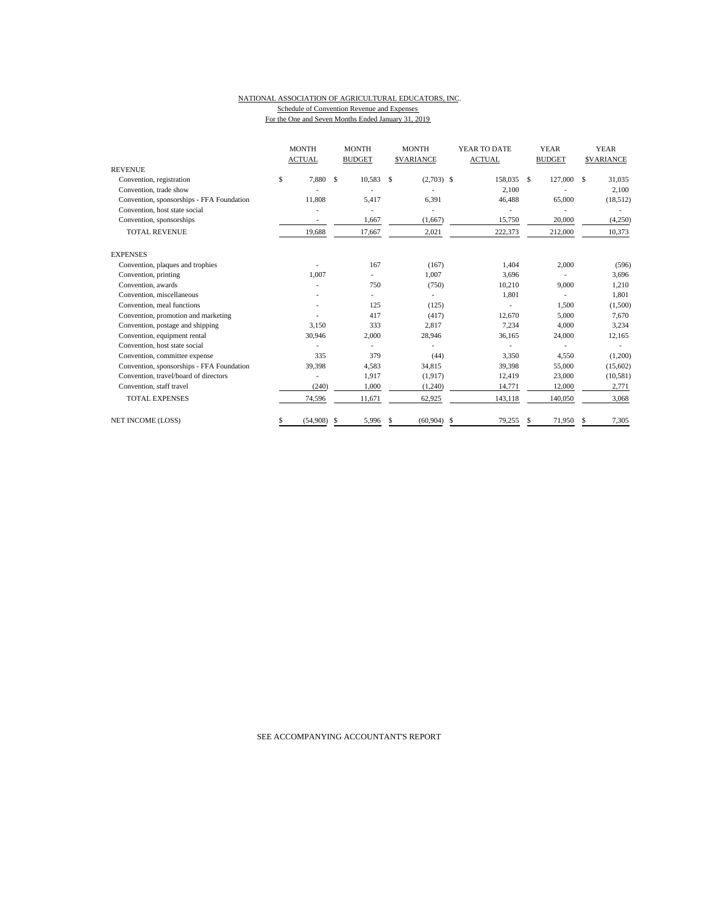#### NATIONAL ASSOCIATION OF AGRICULTURAL EDUCATORS, INC. Schedule of Convention Revenue and Expenses For the One and Seven Months Ended January 31, 2019

|                                           | <b>MONTH</b><br><b>MONTH</b><br><b>MONTH</b><br><b>ACTUAL</b><br><b>BUDGET</b><br><b>SVARIANCE</b> |                         | YEAR TO DATE<br><b>ACTUAL</b> | <b>YEAR</b><br><b>BUDGET</b> | <b>YEAR</b><br><b>SVARIANCE</b> |             |
|-------------------------------------------|----------------------------------------------------------------------------------------------------|-------------------------|-------------------------------|------------------------------|---------------------------------|-------------|
| <b>REVENUE</b>                            |                                                                                                    |                         |                               |                              |                                 |             |
| Convention, registration                  | \$<br>7,880                                                                                        | <sup>\$</sup><br>10,583 | $(2,703)$ \$<br>\$            | 158,035                      | - \$<br>127,000                 | 31,035<br>S |
| Convention, trade show                    |                                                                                                    |                         |                               | 2,100                        |                                 | 2,100       |
| Convention, sponsorships - FFA Foundation | 11,808                                                                                             | 5,417                   | 6,391                         | 46,488                       | 65,000                          | (18,512)    |
| Convention, host state social             |                                                                                                    |                         |                               |                              |                                 |             |
| Convention, sponsorships                  | ٠                                                                                                  | 1,667                   | (1,667)                       | 15,750                       | 20,000                          | (4,250)     |
| <b>TOTAL REVENUE</b>                      | 19,688                                                                                             | 17,667                  | 2,021                         | 222,373                      | 212,000                         | 10,373      |
| <b>EXPENSES</b>                           |                                                                                                    |                         |                               |                              |                                 |             |
| Convention, plaques and trophies          |                                                                                                    | 167                     | (167)                         | 1,404                        | 2,000                           | (596)       |
| Convention, printing                      | 1.007                                                                                              |                         | 1,007                         | 3,696                        |                                 | 3,696       |
| Convention, awards                        |                                                                                                    | 750                     | (750)                         | 10,210                       | 9,000                           | 1,210       |
| Convention, miscellaneous                 |                                                                                                    |                         |                               | 1,801                        |                                 | 1,801       |
| Convention, meal functions                |                                                                                                    | 125                     | (125)                         |                              | 1,500                           | (1,500)     |
| Convention, promotion and marketing       |                                                                                                    | 417                     | (417)                         | 12,670                       | 5,000                           | 7,670       |
| Convention, postage and shipping          | 3,150                                                                                              | 333                     | 2,817                         | 7,234                        | 4,000                           | 3,234       |
| Convention, equipment rental              | 30,946                                                                                             | 2,000                   | 28,946                        | 36.165                       | 24,000                          | 12,165      |
| Convention, host state social             |                                                                                                    |                         |                               |                              |                                 |             |
| Convention, committee expense             | 335                                                                                                | 379                     | (44)                          | 3,350                        | 4,550                           | (1,200)     |
| Convention, sponsorships - FFA Foundation | 39,398                                                                                             | 4.583                   | 34,815                        | 39,398                       | 55,000                          | (15,602)    |
| Convention, travel/board of directors     |                                                                                                    | 1,917                   | (1, 917)                      | 12,419                       | 23,000                          | (10, 581)   |
| Convention, staff travel                  | (240)                                                                                              | 1,000                   | (1,240)                       | 14,771                       | 12,000                          | 2,771       |
| <b>TOTAL EXPENSES</b>                     | 74,596                                                                                             | 11,671                  | 62,925                        | 143,118                      | 140,050                         | 3,068       |
| <b>NET INCOME (LOSS)</b>                  | (54,908)<br>\$                                                                                     | 5,996<br>S              | (60, 904)<br>S                | 79,255<br>\$                 | 71,950<br>\$                    | 7,305<br>S  |